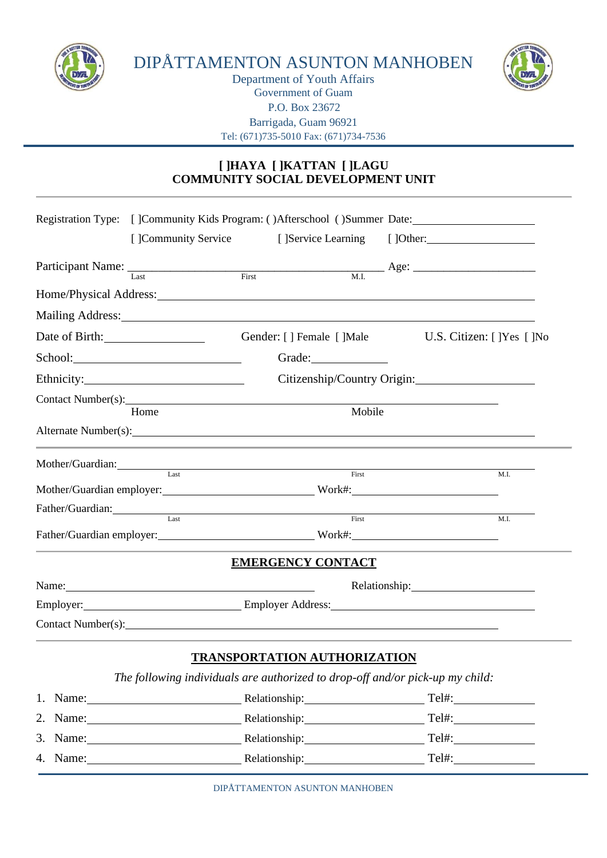

DIPÅTTAMENTON ASUNTON MANHOBEN



Department of Youth Affairs Government of Guam P.O. Box 23672 Barrigada, Guam 96921 Tel: (671)735-5010 Fax: (671)734-7536

## **[ ]HAYA [ ]KATTAN [ ]LAGU COMMUNITY SOCIAL DEVELOPMENT UNIT**

|                                                                                                                                                                                                                                        | Registration Type: []Community Kids Program: ()Afterschool ()Summer Date:                                                                                                                                                      |                                     |        |                               |      |  |
|----------------------------------------------------------------------------------------------------------------------------------------------------------------------------------------------------------------------------------------|--------------------------------------------------------------------------------------------------------------------------------------------------------------------------------------------------------------------------------|-------------------------------------|--------|-------------------------------|------|--|
|                                                                                                                                                                                                                                        | [ ]Community Service                                                                                                                                                                                                           |                                     |        | [] Service Learning [] Other: |      |  |
|                                                                                                                                                                                                                                        |                                                                                                                                                                                                                                |                                     |        |                               |      |  |
|                                                                                                                                                                                                                                        | Home/Physical Address:                                                                                                                                                                                                         |                                     |        |                               |      |  |
|                                                                                                                                                                                                                                        | Mailing Address: National Address: National Address: National Address: National Address: National Address: National Address: National Address: National Address: National Address: National Address: National Address: Nationa |                                     |        |                               |      |  |
| Date of Birth:                                                                                                                                                                                                                         |                                                                                                                                                                                                                                | Gender: [ ] Female [ ]Male          |        | U.S. Citizen: [ ]Yes [ ]No    |      |  |
|                                                                                                                                                                                                                                        |                                                                                                                                                                                                                                |                                     |        |                               |      |  |
|                                                                                                                                                                                                                                        |                                                                                                                                                                                                                                |                                     |        | Citizenship/Country Origin:   |      |  |
|                                                                                                                                                                                                                                        |                                                                                                                                                                                                                                |                                     |        |                               |      |  |
| Contact Number(s): University of the contract Number of the contract Number of the contract Number of the contract of the contract of the contract of the contract of the contract of the contract of the contract of the cont<br>Home |                                                                                                                                                                                                                                |                                     | Mobile |                               |      |  |
|                                                                                                                                                                                                                                        | Alternate Number(s):                                                                                                                                                                                                           |                                     |        |                               |      |  |
|                                                                                                                                                                                                                                        | Mother/Guardian:                                                                                                                                                                                                               |                                     |        |                               |      |  |
|                                                                                                                                                                                                                                        | Mother/Guardian employer: Work#: Work#:                                                                                                                                                                                        |                                     | First  |                               | M.I. |  |
|                                                                                                                                                                                                                                        | Father/Guardian: Tast First First                                                                                                                                                                                              |                                     |        |                               |      |  |
|                                                                                                                                                                                                                                        | Father/Guardian employer: Work#: Work#:                                                                                                                                                                                        |                                     |        |                               | M.I. |  |
|                                                                                                                                                                                                                                        |                                                                                                                                                                                                                                | <b>EMERGENCY CONTACT</b>            |        |                               |      |  |
|                                                                                                                                                                                                                                        | Name: Name and the set of the set of the set of the set of the set of the set of the set of the set of the set of the set of the set of the set of the set of the set of the set of the set of the set of the set of the set o |                                     |        | Relationship: 2000            |      |  |
|                                                                                                                                                                                                                                        | Employer: Employer Address:                                                                                                                                                                                                    |                                     |        |                               |      |  |
|                                                                                                                                                                                                                                        | Contact Number(s):                                                                                                                                                                                                             |                                     |        |                               |      |  |
|                                                                                                                                                                                                                                        |                                                                                                                                                                                                                                | <b>TRANSPORTATION AUTHORIZATION</b> |        |                               |      |  |
|                                                                                                                                                                                                                                        | The following individuals are authorized to drop-off and/or pick-up my child:                                                                                                                                                  |                                     |        |                               |      |  |
|                                                                                                                                                                                                                                        | 1. Name: Relationship: Tel#: Tel#:                                                                                                                                                                                             |                                     |        |                               |      |  |
| 2. Name:                                                                                                                                                                                                                               |                                                                                                                                                                                                                                | Relationship:                       |        | Tel#:                         |      |  |

| Tel#:<br>3. Name:<br>Relationship:<br>4.<br>Tel#:<br>Name:<br>Relationship: | 2. ivalile. | Refationship. | 1 CI#. |
|-----------------------------------------------------------------------------|-------------|---------------|--------|
|                                                                             |             |               |        |
|                                                                             |             |               |        |